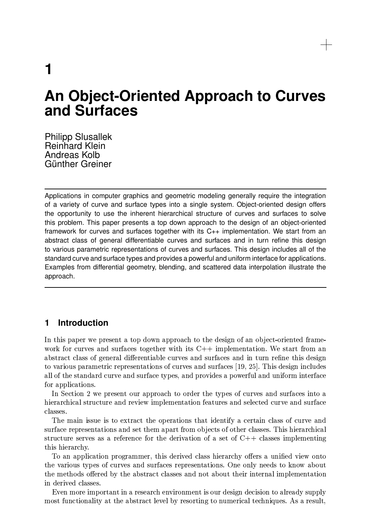1

# **An Object-Oriented Approach to Curves** and Surfaces

**Philipp Slusallek Reinhard Klein** Andreas Kolb Günther Greiner

Applications in computer graphics and geometric modeling generally require the integration of a variety of curve and surface types into a single system. Object-oriented design offers the opportunity to use the inherent hierarchical structure of curves and surfaces to solve this problem. This paper presents a top down approach to the design of an object-oriented framework for curves and surfaces together with its  $C_{++}$  implementation. We start from an abstract class of general differentiable curves and surfaces and in turn refine this design to various parametric representations of curves and surfaces. This design includes all of the standard curve and surface types and provides a powerful and uniform interface for applications. Examples from differential geometry, blending, and scattered data interpolation illustrate the approach.

## **Introduction**  $\blacksquare$

In this paper we present a top down approach to the design of an object-oriented framework for curves and surfaces together with its  $C++$  implementation. We start from an abstract class of general differentiable curves and surfaces and in turn refine this design to various parametric representations of curves and surfaces [19, 25]. This design includes all of the standard curve and surface types, and provides a powerful and uniform interface for applications.

In Section 2 we present our approach to order the types of curves and surfaces into a hierarchical structure and review implementation features and selected curve and surface classes.

The main issue is to extract the operations that identify a certain class of curve and surface representations and set them apart from objects of other classes. This hierarchical structure serves as a reference for the derivation of a set of  $C++$  classes implementing this hierarchy.

To an application programmer, this derived class hierarchy offers a unified view onto the various types of curves and surfaces representations. One only needs to know about the methods offered by the abstract classes and not about their internal implementation in derived classes.

Even more important in a research environment is our design decision to already supply most functionality at the abstract level by resorting to numerical techniques. As a result,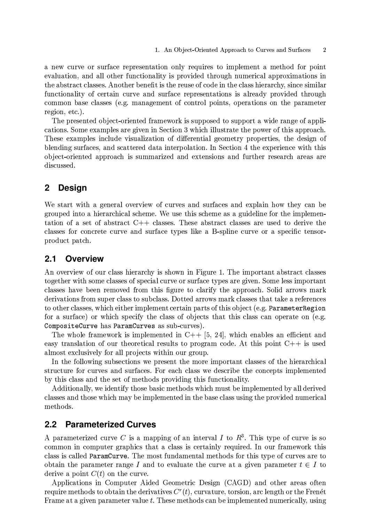a new curve or surface representation only requires to implement a method for point evaluation, and all other functionality is provided through numerical approximations in the abstract classes. Another benefit is the reuse of code in the class hierarchy, since similar functionality of certain curve and surface representations is already provided through common base classes (e.g. management of control points, operations on the parameter region, etc.).

The presented object-oriented framework is supposed to support a wide range of applications. Some examples are given in Section 3 which illustrate the power of this approach. These examples include visualization of differential geometry properties, the design of blending surfaces, and scattered data interpolation. In Section 4 the experience with this object-oriented approach is summarized and extensions and further research areas are discussed.

### $\mathbf{2}$ **Design**

We start with a general overview of curves and surfaces and explain how they can be grouped into a hierarchical scheme. We use this scheme as a guideline for the implementation of a set of abstract  $C++$  classes. These abstract classes are used to derive the classes for concrete curve and surface types like a B-spline curve or a specific tensorproduct patch.

#### **Overview**  $2.1$

An overview of our class hierarchy is shown in Figure 1. The important abstract classes together with some classes of special curve or surface types are given. Some less important classes have been removed from this figure to clarify the approach. Solid arrows mark derivations from super class to subclass. Dotted arrows mark classes that take a references to other classes, which either implement certain parts of this object (e.g. ParameterRegion for a surface) or which specify the class of objects that this class can operate on (e.g. CompositeCurve has ParamCurves as sub-curves).

The whole framework is implemented in C++ [5, 24], which enables an efficient and easy translation of our theoretical results to program code. At this point  $C++$  is used almost exclusively for all projects within our group.

In the following subsections we present the more important classes of the hierarchical structure for curves and surfaces. For each class we describe the concepts implemented by this class and the set of methods providing this functionality.

Additionally, we identify those basic methods which must be implemented by all derived classes and those which may be implemented in the base class using the provided numerical methods.

#### $2.2$ **Parameterized Curves**

A parameterized curve C is a mapping of an interval I to  $R<sup>3</sup>$ . This type of curve is so common in computer graphics that a class is certainly required. In our framework this class is called ParamCurve. The most fundamental methods for this type of curves are to obtain the parameter range I and to evaluate the curve at a given parameter  $t \in I$  to derive a point  $C(t)$  on the curve.

Applications in Computer Aided Geometric Design (CAGD) and other areas often require methods to obtain the derivatives  $C<sup>r</sup>(t)$ , curvature, torsion, arc length or the Frenét Frame at a given parameter value t. These methods can be implemented numerically, using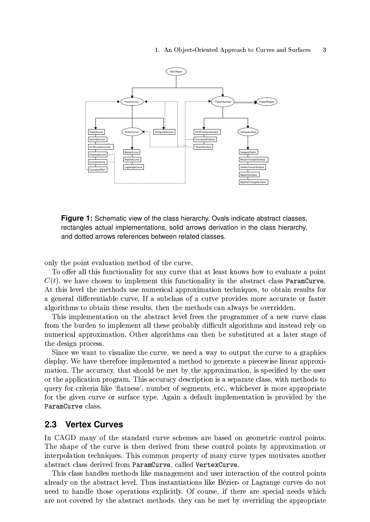

**Figure 1:** Schematic view of the class hierarchy. Ovals indicate abstract classes, rectangles actual implementations, solid arrows derivation in the class hierarchy, and dotted arrows references between related classes.

only the point evaluation method of the curve.

To offer all this functionality for any curve that at least knows how to evaluate a point  $C(t)$ , we have chosen to implement this functionality in the abstract class ParamCurve. At this level the methods use numerical approximation techniques, to obtain results for a general differentiable curve. If a subclass of a curve provides more accurate or faster algorithms to obtain these results, then the methods can always be overridden.

This implementation on the abstract level frees the programmer of a new curve class from the burden to implement all these probably difficult algorithms and instead rely on numerical approximation. Other algorithms can then be substituted at a later stage of the design process.

Since we want to visualize the curve, we need a way to output the curve to a graphics display. We have therefore implemented a method to generate a piecewise linear approximation. The accuracy, that should be met by the approximation, is specified by the user or the application program. This accuracy description is a separate class, with methods to query for criteria like 'flatness', number of segments, etc., whichever is more appropriate for the given curve or surface type. Again a default implementation is provided by the ParamCurve class.

#### $2.3$ **Vertex Curves**

In CAGD many of the standard curve schemes are based on geometric control points. The shape of the curve is then derived from these control points by approximation or interpolation techniques. This common property of many curve types motivates another abstract class derived from ParamCurve, called VertexCurve.

This class handles methods like management and user interaction of the control points already on the abstract level. Thus instantiations like Bézier- or Lagrange curves do not need to handle those operations explicitly. Of course, if there are special needs which are not covered by the abstract methods, they can be met by overriding the appropriate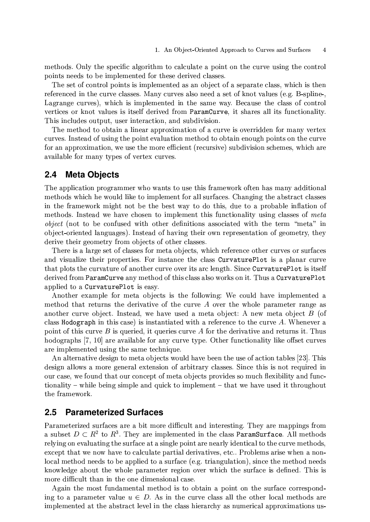TOODË O GUO I INITERIO GUO GODINI O JAQINIEN DO EO GOJI QE O DOJINE OVO EN O GUINTO HIGURA NO GODINO GODINI O vou vên voodr ên ho uwevlavaarênd tou êhoa dawrrad ologogo

The at of eentral points is implemented as an ebiect of a separate class, which is the vokovoroodiva kho ouwtro ologgogi lilovet ouwtrog olgo voodlo gok ok kvoktroging la gulligaliva. Userense survaal which is implemented in the seme way. Deceyse the close of centre TOMÈLOO? ON IEDOË TOISLOC LE LÉGOIE CIONITION IIADAANAIIIDDEL LÉ CIONOC OIL LÉG ESSONIALON ILÉT This includes output ween interestien, and subdivision

The method to obtain a linear annravimetian af a curve is avergidden far meny yente ÖRDYROS IROÙROO GÉROÙDA Ë DA YONË OYOIRAN WORËDO O AA DÊROIR OO ARAIA VOIDEN OO ADA AA GRRY ton on onnnativootion, tijo tion too voomo ottoont inooiingitto gilbonignom gob onoog tijnion on OTTO LO blo thom too gry three on other ordinar of the second

# **2.4 Meta Objects**

The envisorien premenuen uke werte te use this fremewerk efter hee meny edditiona vookioo da vyhtojo joo vyostalijise ko ivoolovo on kiovo oli assakoooa. Libovo osaa kioo oloaksook oloaani ist sua shakaattanis kalans nas na sha nams tiati sa shin sa a nannanania insiasan a torokior da isoakoról tyve ioesyo ojoaan ka isoani osok kirja tsunotiosoolity stajsom ojoaana ot sootto – – – ODIAGT IVAT TA BA GAVINGAN WUTD ALDAN NATINILIANG AGGAALALAN WILD LIA LANDA "VAALA" IN I olotook ostosokool losoossa gool. Isaakood ok laassista klasista sastaa saanda ah osa ok googda ah ku klasi Î7Ê-Û×?ÞEÊ.ËHÌ7Ê-×GÛ\Ú5Ê-Í5ÉKÊ#ËHÛÔàÛÍ5ÉÍ5ßMâÊ-Ö-ËHÏÍEà ÍEËHÌRÊÛAÖÓGÙEÏÏÊÏÐ

There is a lerve set of elegges for mete, chiecta, which reference at her curres en surface ÒPO YIGHOLIDÒ ADOIN PARING HÒN IPOAQIOA ADO ALOGO HILILILILILILI A POLONON OHNYA ... ÉDOS VIOLOGIAD OIINIGAINO OF ON OLNIVO OIINIG OVON 180 ONO ION MED. VINOO IIEEELLE EN LE JO IFOOTE  $\frac{1}{2}$ êriyad fram Demen $\alpha$ innie aprematlaad af this alass also warlig an it. Thus a  $\alpha$ innie tune DJ et ÙEÕ7ÕRÓG×GÊ-ÎËHÍKÙjò5óyð@ôRï\_óyðyõEín×GÏ\ÊÙEÏÔEÐ

 $\Lambda$ nether exemple for mate abjects is the following: We could have implemented a vaatio ë that vatuura tio dovivativa at tio auvra (Lavrus tio vyjoola vanavootov van van a  $\mathbf{c}$  positive  $\mathbf{d}$  is the correction of  $\mathbf{c}$  is the correction of  $\mathbf{c}$  is the correction of  $\mathbf{d}$ class Hodograph in this case) is instantiated with a reference to the curve  $A$ . Whenever  $\mathbf{r}_{\text{obs}}$  of this surve D is survived it survives surve A far the derivative and returns it. Thus KO ALO ANO IN ALI LII ONO OVIOLIO DIN ONT ONTI AVINIO ATINO ALI IN ON TIIN ONLONO ILIKY LIIO. OTTOA ON WYO are implemented using the same technique.

À 10 ÎEÎRÎN ÎEÎRÊ ÎEÎRÊ ÎE ÎEÎRÎ LE ÎEÎRÎ ÎE ÎERE ÎE ÎERE ÎE ÎERE LE LE LE LE LE ÎEÎRÎ ÎE ÎEÎRÎ ÎE ÎEÎRÎ ÎE ÎE ologiova oliozza o zoo gozo gozo grandi ozziozo ok ozdojivan wz ologiogo kizo oo khigiz za zook zoozzanod z ÕIJN GOOG. VYA KOIING ARGA GIJN GOVOONA GE VAGAG. GRIGGATI MNOVI GO VAIIGR EIGYLINIIAV OVON BING. tionality – while being simple and quick to implement – that we have used it throughout äHìRê san Roman a strong he

# **2.5 Parameterized Surfaces**

Dopometerined qurfeees are o bit mare diffeult and interesting. They are mannings fro  $\epsilon$  gubect  $D \subset D^2$  to  $D^3$ . They are implemented in the class  $D$  pre-function  $\Lambda$ ll method volttin a on orolisofin a flooding oo of o gjinalo noint ono noonlisticle of oo flooden ountro nooflooden axeent thet we new here to ecleulate neutial devivatives, etc. Duchlems erise when a new LOORLIMAARIA ALIAA ALAA EA AININ LAMIRIA A MILIAN A RINAMILARIA ALIAA 1990 ANA ARIA ANA ANA ANA ANA ANA ANA AN lmewledge-ebeut the whole neperceter negion even which the gunface is defined. This is ™OO ™OTELOUE EROO TA EROO NUMO NOONG DA DA DA

 $\Lambda$  goin the meet fundamental method is to obtain a naint an the surface conversed :… i sur sur sundimentale (do Do Australia sundimentale al il il so la sur la al marila du an ivoralovoordad ot tio oloetaoet into iloen kuomonokt og minoomooueol orvonotion otion in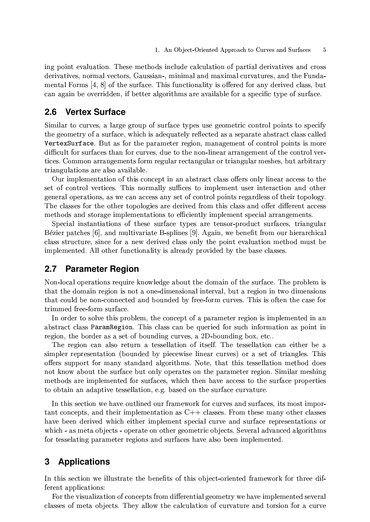ing point evaluation. These methods include calculation of partial derivatives and cross derivatives, normal vectors, Gaussian-, minimal and maximal curvatures, and the Fundamental Forms [4, 8] of the surface. This functionality is offered for any derived class, but can again be overridden, if better algorithms are available for a specific type of surface.

#### $2.6$ **Vertex Surface**

Similar to curves, a large group of surface types use geometric control points to specify the geometry of a surface, which is adequately reflected as a separate abstract class called VertexSurface. But as for the parameter region, management of control points is more difficult for surfaces than for curves, due to the non-linear arrangement of the control vertices. Common arrangements form regular rectangular or triangular meshes, but arbitrary triangulations are also available.

Our implementation of this concept in an abstract class offers only linear access to the set of control vertices. This normally suffices to implement user interaction and other general operations, as we can access any set of control points regardless of their topology. The classes for the other topologies are derived from this class and offer different access methods and storage implementations to efficiently implement special arrangements.

Special instantiations of these surface types are tensor-product surfaces, triangular Bézier patches [6], and multivariate B-splines [9]. Again, we benefit from our hierarchical class structure, since for a new derived class only the point evaluation method must be implemented. All other functionality is already provided by the base classes.

#### $2.7$ **Parameter Region**

Non-local operations require knowledge about the domain of the surface. The problem is that the domain region is not a one-dimensional interval, but a region in two dimensions that could be non-connected and bounded by free-form curves. This is often the case for trimmed free-form surface.

In order to solve this problem, the concept of a parameter region is implemented in an abstract class ParamRegion. This class can be queried for such information as point in region, the border as a set of bounding curves, a 2D-bounding box, etc..

The region can also return a tessellation of itself. The tessellation can either be a simpler representation (bounded by piecewise linear curves) or a set of triangles. This offers support for many standard algorithms. Note, that this tessellation method does not know about the surface but only operates on the parameter region. Similar meshing methods are implemented for surfaces, which then have access to the surface properties to obtain an adaptive tessellation, e.g. based on the surface curvature.

In this section we have outlined our framework for curves and surfaces, its most important concepts, and their implementation as  $C++$  classes. From these many other classes have been derived which either implement special curve and surface representations or which - as meta objects - operate on other geometric objects. Several advanced algorithms for tesselating parameter regions and surfaces have also been implemented.

### 3 **Applications**

In this section we illustrate the benefits of this object-oriented framework for three different applications:

For the visualization of concepts from differential geometry we have implemented several classes of meta objects. They allow the calculation of curvature and torsion for a curve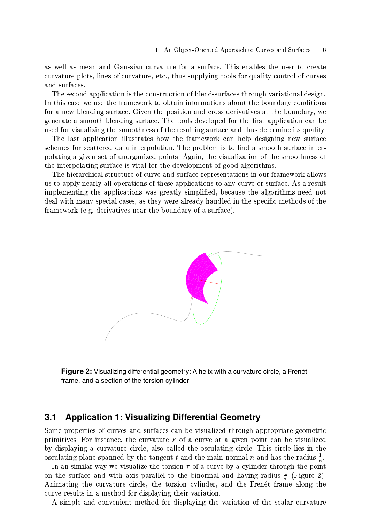as well as mean and Gaussian curvature for a surface. This enables the user to create curvature plots, lines of curvature, etc., thus supplying tools for quality control of curves and surfaces.

The second application is the construction of blend-surfaces through variational design. In this case we use the framework to obtain informations about the boundary conditions for a new blending surface. Given the position and cross derivatives at the boundary, we generate a smooth blending surface. The tools developed for the first application can be used for visualizing the smoothness of the resulting surface and thus determine its quality.

The last application illustrates how the framework can help designing new surface schemes for scattered data interpolation. The problem is to find a smooth surface interpolating a given set of unorganized points. Again, the visualization of the smoothness of the interpolating surface is vital for the development of good algorithms.

The hierarchical structure of curve and surface representations in our framework allows us to apply nearly all operations of these applications to any curve or surface. As a result implementing the applications was greatly simplified, because the algorithms need not deal with many special cases, as they were already handled in the specific methods of the framework (e.g. derivatives near the boundary of a surface).



Figure 2: Visualizing differential geometry: A helix with a curvature circle, a Frenét frame, and a section of the torsion cylinder

#### $3.1$ **Application 1: Visualizing Differential Geometry**

Some properties of curves and surfaces can be visualized through appropriate geometric primitives. For instance, the curvature  $\kappa$  of a curve at a given point can be visualized by displaying a curvature circle, also called the osculating circle. This circle lies in the osculating plane spanned by the tangent t and the main normal n and has the radius  $\frac{1}{n}$ .

In an similar way we visualize the torsion  $\tau$  of a curve by a cylinder through the point on the surface and with axis parallel to the binormal and having radius  $\frac{1}{\tau}$  (Figure 2). Animating the curvature circle, the torsion cylinder, and the Frenet frame along the curve results in a method for displaying their variation.

A simple and convenient method for displaying the variation of the scalar curvature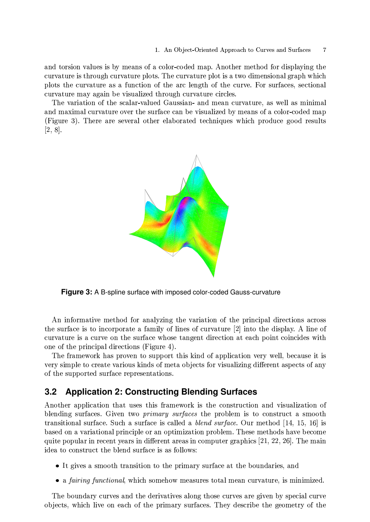and torsion values is by means of a color-coded map. Another method for displaying the curvature is through curvature plots. The curvature plot is a two dimensional graph which plots the curvature as a function of the arc length of the curve. For surfaces, sectional curvature may again be visualized through curvature circles.

The variation of the scalar-valued Gaussian- and mean curvature, as well as minimal and maximal curvature over the surface can be visualized by means of a color-coded map (Figure 3). There are several other elaborated techniques which produce good results  $[2, 8].$ 



**Figure 3:** A B-spline surface with imposed color-coded Gauss-curvature

An informative method for analyzing the variation of the principal directions across the surface is to incorporate a family of lines of curvature [2] into the display. A line of curvature is a curve on the surface whose tangent direction at each point coincides with one of the principal directions (Figure 4).

The framework has proven to support this kind of application very well, because it is very simple to create various kinds of meta objects for visualizing different aspects of any of the supported surface representations.

### $3.2$ **Application 2: Constructing Blending Surfaces**

Another application that uses this framework is the construction and visualization of blending surfaces. Given two *primary surfaces* the problem is to construct a smooth transitional surface. Such a surface is called a *blend surface*. Our method [14, 15, 16] is based on a variational principle or an optimization problem. These methods have become quite popular in recent years in different areas in computer graphics  $[21, 22, 26]$ . The main idea to construct the blend surface is as follows:

- It gives a smooth transition to the primary surface at the boundaries, and
- a *fairing functional*, which somehow measures total mean curvature, is minimized.

The boundary curves and the derivatives along those curves are given by special curve objects, which live on each of the primary surfaces. They describe the geometry of the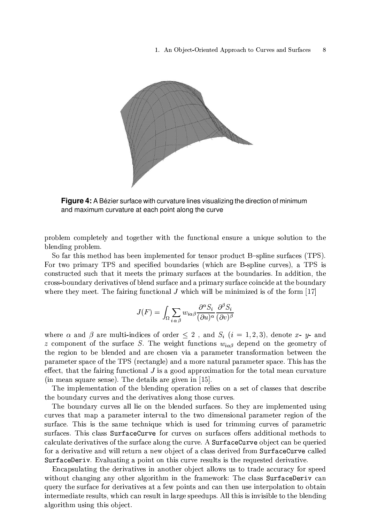

Figure 4: A Bézier surface with curvature lines visualizing the direction of minimum and maximum curvature at each point along the curve

problem completely and together with the functional ensure a unique solution to the blending problem.

So far this method has been implemented for tensor product B-spline surfaces (TPS). For two primary TPS and specified boundaries (which are B-spline curves), a TPS is constructed such that it meets the primary surfaces at the boundaries. In addition, the cross-boundary derivatives of blend surface and a primary surface coincide at the boundary where they meet. The fairing functional J which will be minimized is of the form  $[17]$ 

$$
J(F) = \int_{\Omega} \sum_{i \alpha \beta} w_{i\alpha\beta} \frac{\partial^{\alpha} S_i}{(\partial u)^{\alpha}} \frac{\partial^{\beta} S_i}{(\partial v)^{\beta}}
$$

where  $\alpha$  and  $\beta$  are multi-indices of order  $\leq 2$ , and  $S_i$   $(i = 1, 2, 3)$ , denote x- y- and z component of the surface S. The weight functions  $w_{i\alpha\beta}$  depend on the geometry of the region to be blended and are chosen via a parameter transformation between the parameter space of the TPS (rectangle) and a more natural parameter space. This has the effect, that the fairing functional  $J$  is a good approximation for the total mean curvature (in mean square sense). The details are given in  $[15]$ .

The implementation of the blending operation relies on a set of classes that describe the boundary curves and the derivatives along those curves.

The boundary curves all lie on the blended surfaces. So they are implemented using curves that map a parameter interval to the two dimensional parameter region of the surface. This is the same technique which is used for trimming curves of parametric surfaces. This class SurfaceCurve for curves on surfaces offers additional methods to calculate derivatives of the surface along the curve. A SurfaceCurve object can be queried for a derivative and will return a new object of a class derived from SurfaceCurve called SurfaceDeriv. Evaluating a point on this curve results is the requested derivative.

Encapsulating the derivatives in another object allows us to trade accuracy for speed without changing any other algorithm in the framework: The class SurfaceDeriv can query the surface for derivatives at a few points and can then use interpolation to obtain intermediate results, which can result in large speedups. All this is invisible to the blending algorithm using this object.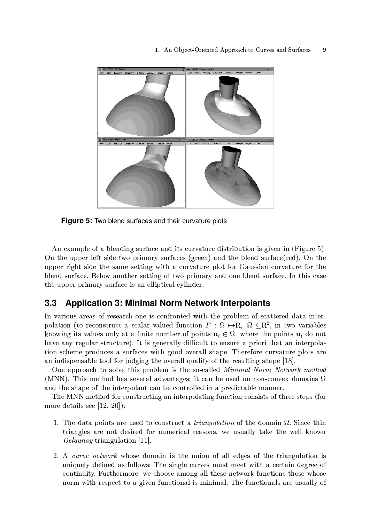

**Figure 5:** Two blend surfaces and their curvature plots

An example of a blending surface and its curvature distribution is given in (Figure 5). On the upper left side two primary surfaces (green) and the blend surface (red). On the upper right side the same setting with a curvature plot for Gaussian curvature for the blend surface. Below another setting of two primary and one blend surface. In this case the upper primary surface is an elliptical cylinder.

#### $3.3$ **Application 3: Minimal Norm Network Interpolants**

In various areas of research one is confronted with the problem of scattered data interpolation (to reconstruct a scalar valued function  $F : \Omega \mapsto R$ ,  $\Omega \subset R^2$ , in two variables knowing its values only at a finite number of points  $u_i \in \Omega$ , where the points  $u_i$  do not have any regular structure). It is generally difficult to ensure a priori that an interpolation scheme produces a surfaces with good overall shape. Therefore curvature plots are an indispensable tool for judging the overall quality of the resulting shape [18].

One approach to solve this problem is the so-called *Minimal Norm Network method* (MNN). This method has several advantages: it can be used on non-convex domains  $\Omega$ and the shape of the interpolant can be controlled in a predictable manner.

The MNN method for constructing an interpolating function consists of three steps (for more details see  $[12, 20]$ :

- 1. The data points are used to construct a *triangulation* of the domain  $\Omega$ . Since thin triangles are not desired for numerical reasons, we usually take the well known *Delaunay* triangulation [11].
- 2. A curve network whose domain is the union of all edges of the triangulation is uniquely defined as follows: The single curves must meet with a certain degree of continuity. Furthermore, we choose among all these network functions those whose norm with respect to a given functional is minimal. The functionals are usually of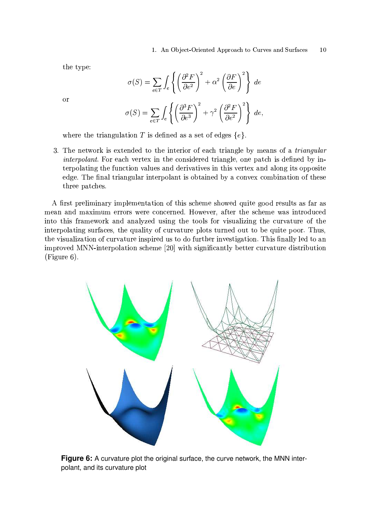the type:

$$
\sigma(S) = \sum_{e \in T} \int_e \left\{ \left( \frac{\partial^2 F}{\partial e^2} \right)^2 + \alpha^2 \left( \frac{\partial F}{\partial e} \right)^2 \right\} de
$$

$$
\sigma(S) = \sum_{e \in T} \int_e \left\{ \left( \frac{\partial^3 F}{\partial e^3} \right)^2 + \gamma^2 \left( \frac{\partial^2 F}{\partial e^2} \right)^2 \right\} de
$$

 $\alpha$ r

where the triangulation T is defined as a set of edges  $\{e\}$ .

3. The network is extended to the interior of each triangle by means of a *triangular interpolant*. For each vertex in the considered triangle, one patch is defined by interpolating the function values and derivatives in this vertex and along its opposite edge. The final triangular interpolant is obtained by a convex combination of these three patches.

A first preliminary implementation of this scheme showed quite good results as far as mean and maximum errors were concerned. However, after the scheme was introduced into this framework and analyzed using the tools for visualizing the curvature of the interpolating surfaces, the quality of curvature plots turned out to be quite poor. Thus, the visualization of curvature inspired us to do further investigation. This finally led to an improved MNN-interpolation scheme [20] with significantly better curvature distribution  $(Figure 6)$ .



Figure 6: A curvature plot the original surface, the curve network, the MNN interpolant, and its curvature plot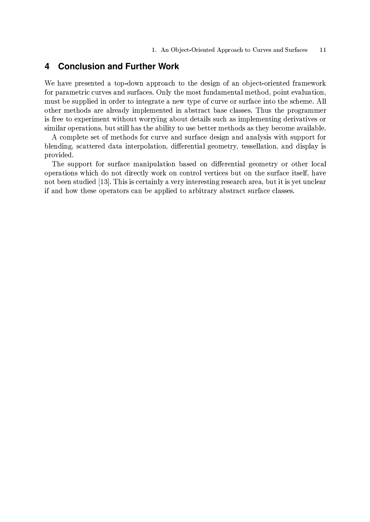#### $\overline{\mathbf{4}}$ **Conclusion and Further Work**

We have presented a top-down approach to the design of an object-oriented framework for parametric curves and surfaces. Only the most fundamental method, point evaluation, must be supplied in order to integrate a new type of curve or surface into the scheme. All other methods are already implemented in abstract base classes. Thus the programmer is free to experiment without worrying about details such as implementing derivatives or similar operations, but still has the ability to use better methods as they become available.

A complete set of methods for curve and surface design and analysis with support for blending, scattered data interpolation, differential geometry, tessellation, and display is provided.

The support for surface manipulation based on differential geometry or other local operations which do not directly work on control vertices but on the surface itself, have not been studied [13]. This is certainly a very interesting research area, but it is yet unclear if and how these operators can be applied to arbitrary abstract surface classes.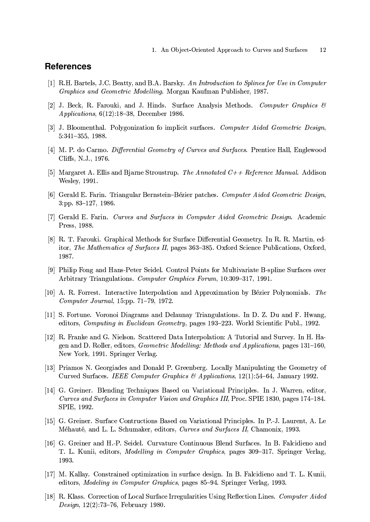# **References**

- [1] R.H. Bartels, J.C. Beatty, and B.A. Barsky. An Introduction to Splines for Use in Computer Graphics and Geometric Modelling. Morgan Kaufman Publisher, 1987.
- [2] J. Beck, R. Farouki, and J. Hinds. Surface Analysis Methods. Computer Graphics  $\mathcal{C}$  $Applications, 6(12):18-38, December 1986.$
- [3] J. Bloomenthal. Polygonization fo implicit surfaces. Computer Aided Geometric Design,  $5:341-355, 1988.$
- [4] M. P. do Carmo. Differential Geometry of Curves and Surfaces. Prentice Hall, Englewood Cliffs, N.J., 1976.
- [5] Margaret A. Ellis and Bjarne Stroustrup. The Annotated  $C++$  Reference Manual. Addison Wesley, 1991.
- [6] Gerald E. Farin. Triangular Bernstein–Bézier patches. Computer Aided Geometric Design,  $3:pp. 83-127, 1986.$
- [7] Gerald E. Farin. Curves and Surfaces in Computer Aided Geometric Design. Academic Press, 1988.
- [8] R. T. Farouki. Graphical Methods for Surface Differential Geometry. In R. R. Martin, editor, The Mathematics of Surfaces II, pages 363–385. Oxford Science Publications, Oxford, 1987.
- [9] Philip Fong and Hans-Peter Seidel. Control Points for Multivariate B-spline Surfaces over Arbitrary Triangulations. Computer Graphics Forum, 10:309-317, 1991.
- [10] A. R. Forrest. Interactive Interpolation and Approximation by Bézier Polynomials. The Computer Journal, 15:pp.  $71-79$ , 1972.
- [11] S. Fortune. Voronoi Diagrams and Delaunay Triangulations. In D. Z. Du and F. Hwang, editors, Computing in Euclidean Geometry, pages 193-223. World Scientific Publ., 1992.
- [12] R. Franke and G. Nielson. Scattered Data Interpolation: A Tutorial and Survey. In H. Hagen and D. Roller, editors, *Geometric Modelling: Methods and Applications*, pages 131-160, New York, 1991. Springer Verlag.
- [13] Priamos N. Georgiades and Donald P. Greenberg. Locally Manipulating the Geometry of Curved Surfaces. IEEE Computer Graphics & Applications, 12(1):54–64, January 1992.
- [14] G. Greiner. Blending Techniques Based on Variational Principles. In J. Warren, editor, Curves and Surfaces in Computer Vision and Graphics III, Proc. SPIE 1830, pages 174–184. SPIE, 1992.
- [15] G. Greiner. Surface Contructions Based on Variational Principles. In P.-J. Laurent, A. Le Méhauté, and L. L. Schumaker, editors, Curves and Surfaces II, Chamonix, 1993.
- [16] G. Greiner and H.-P. Seidel. Curvature Continuous Blend Surfaces. In B. Falcidieno and T. L. Kunii, editors, *Modelling in Computer Graphics*, pages 309–317. Springer Verlag, 1993.
- [17] M. Kallay. Constrained optimization in surface design. In B. Falcidieno and T. L. Kunii, editors, *Modeling in Computer Graphics*, pages 85–94. Springer Verlag, 1993.
- [18] R. Klass. Correction of Local Surface Irregularities Using Reflection Lines. Computer Aided Design,  $12(2)$ :73-76, February 1980.